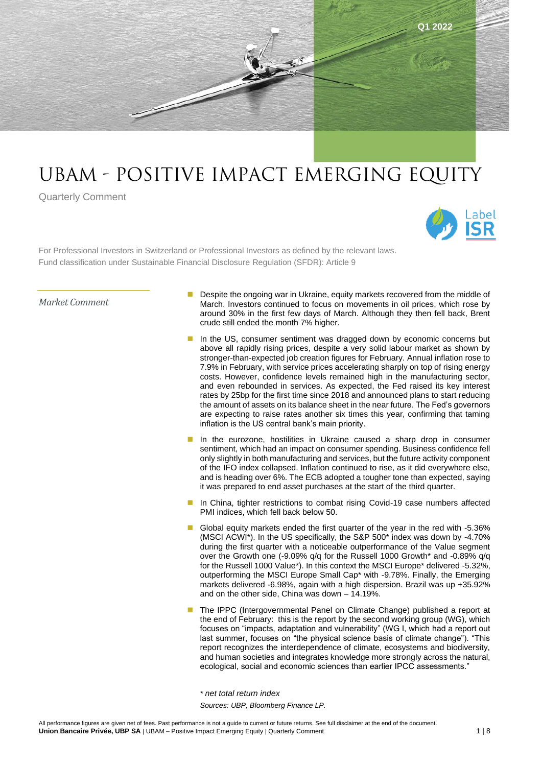

# UBAm - Positive Impact Emerging Equity

Quarterly Comment



For Professional Investors in Switzerland or Professional Investors as defined by the relevant laws. Fund classification under Sustainable Financial Disclosure Regulation (SFDR): Article 9

*Market Comment*

- Despite the ongoing war in Ukraine, equity markets recovered from the middle of March. Investors continued to focus on movements in oil prices, which rose by around 30% in the first few days of March. Although they then fell back, Brent crude still ended the month 7% higher.
- In the US, consumer sentiment was dragged down by economic concerns but above all rapidly rising prices, despite a very solid labour market as shown by stronger-than-expected job creation figures for February. Annual inflation rose to 7.9% in February, with service prices accelerating sharply on top of rising energy costs. However, confidence levels remained high in the manufacturing sector, and even rebounded in services. As expected, the Fed raised its key interest rates by 25bp for the first time since 2018 and announced plans to start reducing the amount of assets on its balance sheet in the near future. The Fed's governors are expecting to raise rates another six times this year, confirming that taming inflation is the US central bank's main priority.
- In the eurozone, hostilities in Ukraine caused a sharp drop in consumer sentiment, which had an impact on consumer spending. Business confidence fell only slightly in both manufacturing and services, but the future activity component of the IFO index collapsed. Inflation continued to rise, as it did everywhere else, and is heading over 6%. The ECB adopted a tougher tone than expected, saying it was prepared to end asset purchases at the start of the third quarter.
- In China, tighter restrictions to combat rising Covid-19 case numbers affected PMI indices, which fell back below 50.
- Global equity markets ended the first quarter of the year in the red with -5.36% (MSCI ACWI\*). In the US specifically, the S&P 500\* index was down by -4.70% during the first quarter with a noticeable outperformance of the Value segment over the Growth one (-9.09% q/q for the Russell 1000 Growth\* and -0.89% q/q for the Russell 1000 Value\*). In this context the MSCI Europe\* delivered -5.32%, outperforming the MSCI Europe Small Cap\* with -9.78%. Finally, the Emerging markets delivered -6.98%, again with a high dispersion. Brazil was up +35.92% and on the other side, China was down – 14.19%.
- The IPPC (Intergovernmental Panel on Climate Change) published a report at the end of February: this is the report by the second working group (WG), which focuses on "impacts, adaptation and vulnerability" (WG I, which had a report out last summer, focuses on "the physical science basis of climate change"). "This report recognizes the interdependence of climate, ecosystems and biodiversity, and human societies and integrates knowledge more strongly across the natural, ecological, social and economic sciences than earlier IPCC assessments."

*\* net total return index Sources: UBP, Bloomberg Finance LP.*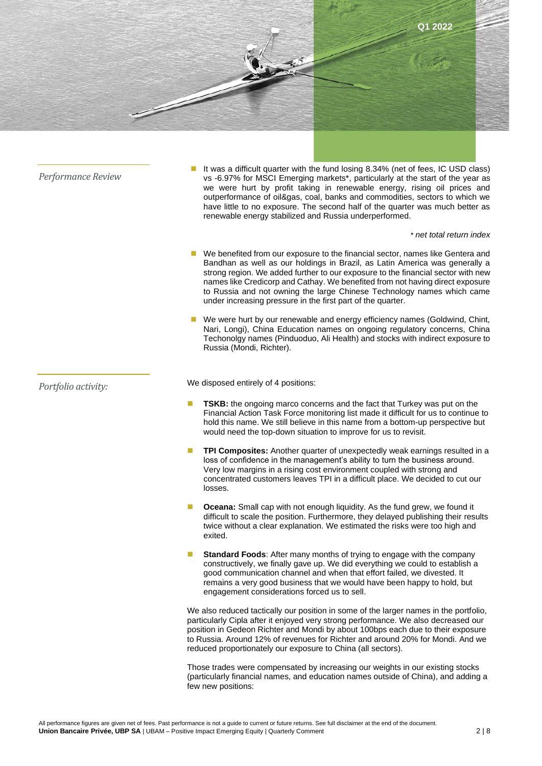

■ We were hurt by our renewable and energy efficiency names (Goldwind, Chint, Nari, Longi), China Education names on ongoing regulatory concerns, China Techonolgy names (Pinduoduo, Ali Health) and stocks with indirect exposure to Russia (Mondi, Richter).

*Portfolio activity:* 

We disposed entirely of 4 positions:

- **TSKB:** the ongoing marco concerns and the fact that Turkey was put on the Financial Action Task Force monitoring list made it difficult for us to continue to hold this name. We still believe in this name from a bottom-up perspective but would need the top-down situation to improve for us to revisit.
- **TPI Composites:** Another quarter of unexpectedly weak earnings resulted in a loss of confidence in the management's ability to turn the business around. Very low margins in a rising cost environment coupled with strong and concentrated customers leaves TPI in a difficult place. We decided to cut our losses.
- **Oceana:** Small cap with not enough liquidity. As the fund grew, we found it difficult to scale the position. Furthermore, they delayed publishing their results twice without a clear explanation. We estimated the risks were too high and exited.
- **Standard Foods:** After many months of trying to engage with the company constructively, we finally gave up. We did everything we could to establish a good communication channel and when that effort failed, we divested. It remains a very good business that we would have been happy to hold, but engagement considerations forced us to sell.

We also reduced tactically our position in some of the larger names in the portfolio, particularly Cipla after it enjoyed very strong performance. We also decreased our position in Gedeon Richter and Mondi by about 100bps each due to their exposure to Russia. Around 12% of revenues for Richter and around 20% for Mondi. And we reduced proportionately our exposure to China (all sectors).

Those trades were compensated by increasing our weights in our existing stocks (particularly financial names, and education names outside of China), and adding a few new positions: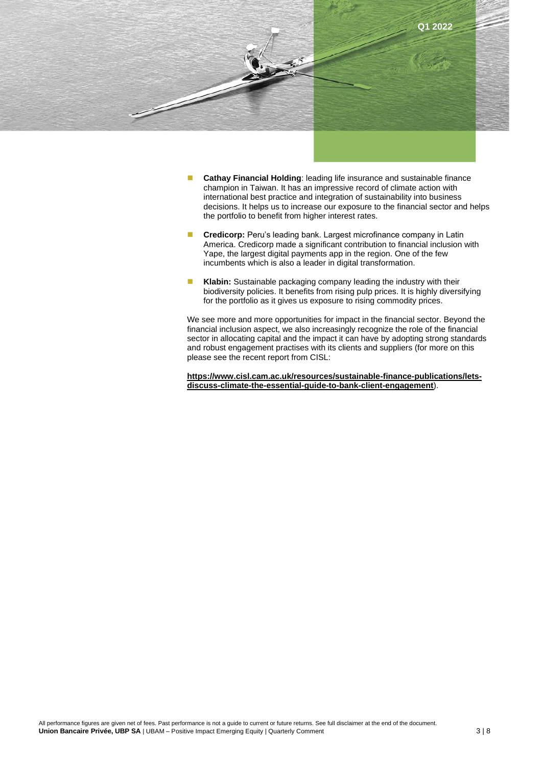

- **Cathay Financial Holding: leading life insurance and sustainable finance** champion in Taiwan. It has an impressive record of climate action with international best practice and integration of sustainability into business decisions. It helps us to increase our exposure to the financial sector and helps the portfolio to benefit from higher interest rates.
- **Credicorp:** Peru's leading bank. Largest microfinance company in Latin America. Credicorp made a significant contribution to financial inclusion with Yape, the largest digital payments app in the region. One of the few incumbents which is also a leader in digital transformation.
- Klabin: Sustainable packaging company leading the industry with their biodiversity policies. It benefits from rising pulp prices. It is highly diversifying for the portfolio as it gives us exposure to rising commodity prices.

We see more and more opportunities for impact in the financial sector. Beyond the financial inclusion aspect, we also increasingly recognize the role of the financial sector in allocating capital and the impact it can have by adopting strong standards and robust engagement practises with its clients and suppliers (for more on this please see the recent report from CISL:

**[https://www.cisl.cam.ac.uk/resources/sustainable-finance-publications/lets](https://www.cisl.cam.ac.uk/resources/sustainable-finance-publications/lets-discuss-climate-the-essential-guide-to-bank-client-engagement)[discuss-climate-the-essential-guide-to-bank-client-engagement](https://www.cisl.cam.ac.uk/resources/sustainable-finance-publications/lets-discuss-climate-the-essential-guide-to-bank-client-engagement)**).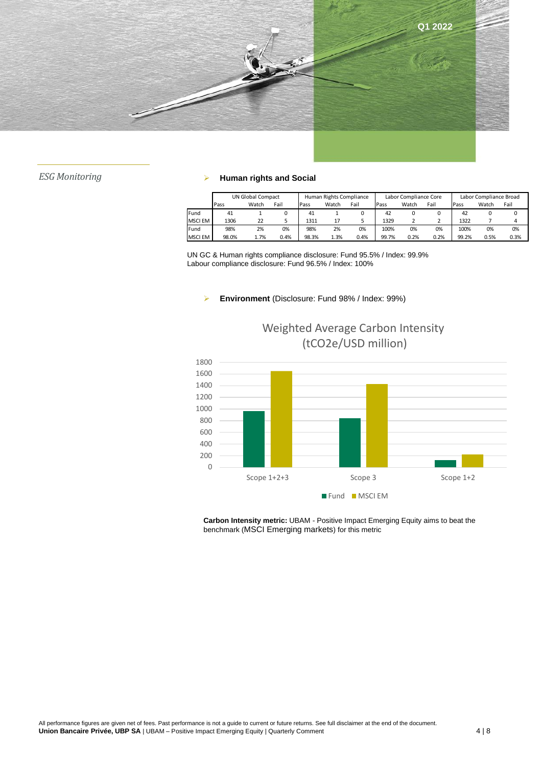

## *ESG Monitoring* ➢ **Human rights and Social**

|                | UN Global Compact |       |      | Human Rights Compliance |       |      | Labor Compliance Core |       |      | Labor Compliance Broad |       |      |
|----------------|-------------------|-------|------|-------------------------|-------|------|-----------------------|-------|------|------------------------|-------|------|
|                | Pass              | Watch | Fail | Pass                    | Watch | Fail | Pass                  | Watch | Fail | Pass                   | Watch | Fail |
| Fund           | 41                |       |      | 41                      |       |      | 42                    |       |      | 42                     |       |      |
| <b>MSCI EM</b> | 1306              | 22    |      | 1311                    |       |      | 1329                  |       |      | 1322                   |       |      |
| Fund           | 98%               | 2%    | 0%   | 98%                     | 2%    | 0%   | 100%                  | 0%    | 0%   | 100%                   | 0%    | 0%   |
| <b>MSCI EM</b> | 98.0%             | 1.7%  | 0.4% | 98.3%                   | 1.3%  | 0.4% | 99.7%                 | 0.2%  | 0.2% | 99.2%                  | 0.5%  | 0.3% |

UN GC & Human rights compliance disclosure: Fund 95.5% / Index: 99.9% Labour compliance disclosure: Fund 96.5% / Index: 100%

#### ➢ **Environment** (Disclosure: Fund 98% / Index: 99%)



Weighted Average Carbon Intensity (tCO2e/USD million)

**Carbon Intensity metric:** UBAM - Positive Impact Emerging Equity aims to beat the benchmark (MSCI Emerging markets) for this metric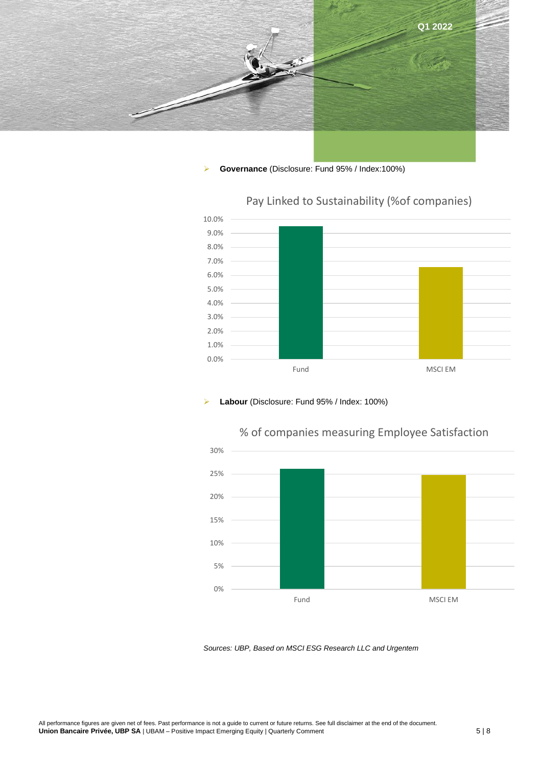

### ➢ **Governance** (Disclosure: Fund 95% / Index:100%)



# Pay Linked to Sustainability (%of companies)

#### ➢ **Labour** (Disclosure: Fund 95% / Index: 100%)



# % of companies measuring Employee Satisfaction

*Sources: UBP, Based on MSCI ESG Research LLC and Urgentem*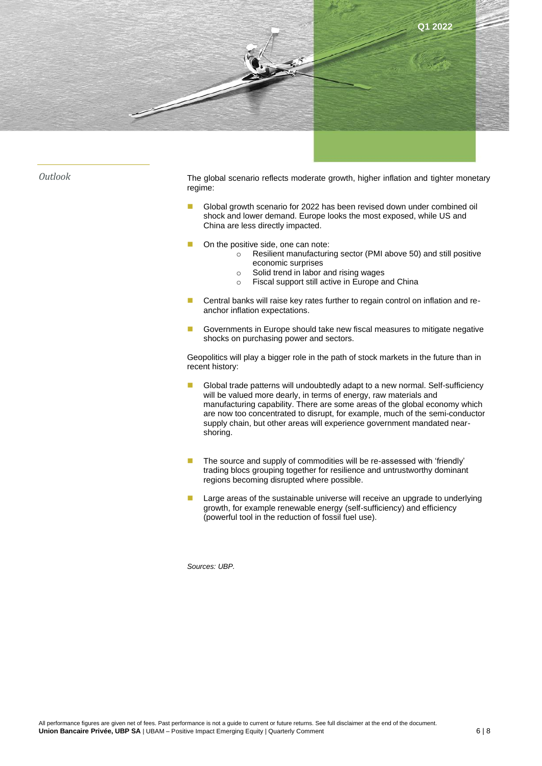

*Outlook* The global scenario reflects moderate growth, higher inflation and tighter monetary regime:

- Global growth scenario for 2022 has been revised down under combined oil shock and lower demand. Europe looks the most exposed, while US and China are less directly impacted.
- On the positive side, one can note:
	- o Resilient manufacturing sector (PMI above 50) and still positive economic surprises
	- o Solid trend in labor and rising wages
	- o Fiscal support still active in Europe and China
- Central banks will raise key rates further to regain control on inflation and reanchor inflation expectations.
- Governments in Europe should take new fiscal measures to mitigate negative shocks on purchasing power and sectors.

Geopolitics will play a bigger role in the path of stock markets in the future than in recent history:

- Global trade patterns will undoubtedly adapt to a new normal. Self-sufficiency will be valued more dearly, in terms of energy, raw materials and manufacturing capability. There are some areas of the global economy which are now too concentrated to disrupt, for example, much of the semi-conductor supply chain, but other areas will experience government mandated nearshoring.
- The source and supply of commodities will be re-assessed with 'friendly' trading blocs grouping together for resilience and untrustworthy dominant regions becoming disrupted where possible.
- Large areas of the sustainable universe will receive an upgrade to underlying growth, for example renewable energy (self-sufficiency) and efficiency (powerful tool in the reduction of fossil fuel use).

*Sources: UBP.*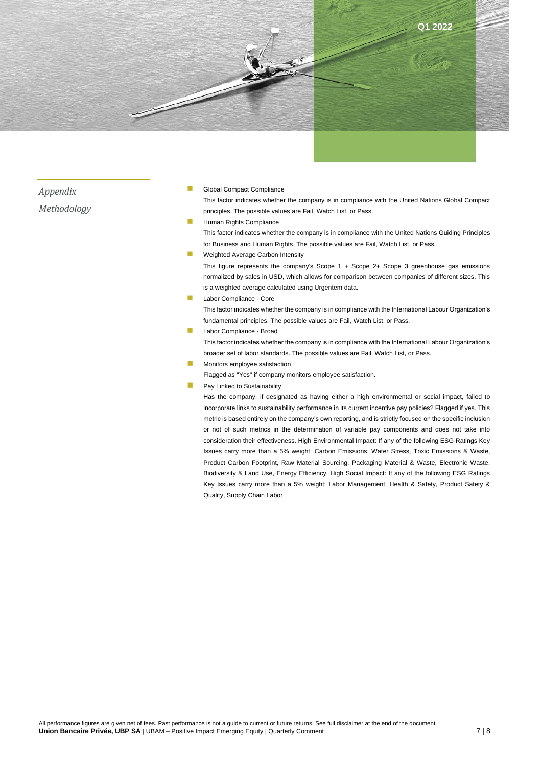

*Appendix Methodology*

#### Global Compact Compliance

This factor indicates whether the company is in compliance with the United Nations Global Compact principles. The possible values are Fail, Watch List, or Pass.

#### **Human Rights Compliance**

This factor indicates whether the company is in compliance with the United Nations Guiding Principles for Business and Human Rights. The possible values are Fail, Watch List, or Pass.

■ Weighted Average Carbon Intensity

This figure represents the company's Scope 1 + Scope 2+ Scope 3 greenhouse gas emissions normalized by sales in USD, which allows for comparison between companies of different sizes. This is a weighted average calculated using Urgentem data.

Labor Compliance - Core

This factor indicates whether the company is in compliance with the International Labour Organization's fundamental principles. The possible values are Fail, Watch List, or Pass.

Labor Compliance - Broad

This factor indicates whether the company is in compliance with the International Labour Organization's broader set of labor standards. The possible values are Fail, Watch List, or Pass.

◼ Monitors employee satisfaction

Flagged as "Yes" if company monitors employee satisfaction.

Pay Linked to Sustainability

Has the company, if designated as having either a high environmental or social impact, failed to incorporate links to sustainability performance in its current incentive pay policies? Flagged if yes. This metric is based entirely on the company's own reporting, and is strictly focused on the specific inclusion or not of such metrics in the determination of variable pay components and does not take into consideration their effectiveness. High Environmental Impact: If any of the following ESG Ratings Key Issues carry more than a 5% weight: Carbon Emissions, Water Stress, Toxic Emissions & Waste, Product Carbon Footprint, Raw Material Sourcing, Packaging Material & Waste, Electronic Waste, Biodiversity & Land Use, Energy Efficiency. High Social Impact: If any of the following ESG Ratings Key Issues carry more than a 5% weight: Labor Management, Health & Safety, Product Safety & Quality, Supply Chain Labor